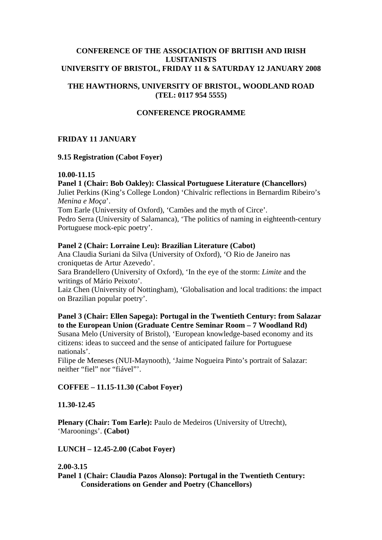### **CONFERENCE OF THE ASSOCIATION OF BRITISH AND IRISH LUSITANISTS UNIVERSITY OF BRISTOL, FRIDAY 11 & SATURDAY 12 JANUARY 2008**

# **THE HAWTHORNS, UNIVERSITY OF BRISTOL, WOODLAND ROAD (TEL: 0117 954 5555)**

# **CONFERENCE PROGRAMME**

# **FRIDAY 11 JANUARY**

### **9.15 Registration (Cabot Foyer)**

### **10.00-11.15**

# **Panel 1 (Chair: Bob Oakley): Classical Portuguese Literature (Chancellors)**

Juliet Perkins (King's College London) 'Chivalric reflections in Bernardim Ribeiro's *Menina e Moça*'.

Tom Earle (University of Oxford), 'Camões and the myth of Circe'.

Pedro Serra (University of Salamanca), 'The politics of naming in eighteenth-century Portuguese mock-epic poetry'.

### **Panel 2 (Chair: Lorraine Leu): Brazilian Literature (Cabot)**

Ana Claudia Suriani da Silva (University of Oxford), 'O Rio de Janeiro nas croniquetas de Artur Azevedo'.

Sara Brandellero (University of Oxford), 'In the eye of the storm: *Limite* and the writings of Mário Peixoto'.

Laiz Chen (University of Nottingham), 'Globalisation and local traditions: the impact on Brazilian popular poetry'.

# **Panel 3 (Chair: Ellen Sapega): Portugal in the Twentieth Century: from Salazar to the European Union (Graduate Centre Seminar Room – 7 Woodland Rd)**

Susana Melo (University of Bristol), 'European knowledge-based economy and its citizens: ideas to succeed and the sense of anticipated failure for Portuguese nationals'.

Filipe de Meneses (NUI-Maynooth), 'Jaime Nogueira Pinto's portrait of Salazar: neither "fiel" nor "fiável"'.

# **COFFEE – 11.15-11.30 (Cabot Foyer)**

#### **11.30-12.45**

**Plenary (Chair: Tom Earle):** Paulo de Medeiros (University of Utrecht), 'Maroonings'. **(Cabot)**

**LUNCH – 12.45-2.00 (Cabot Foyer)** 

#### **2.00-3.15**

**Panel 1 (Chair: Claudia Pazos Alonso): Portugal in the Twentieth Century: Considerations on Gender and Poetry (Chancellors)**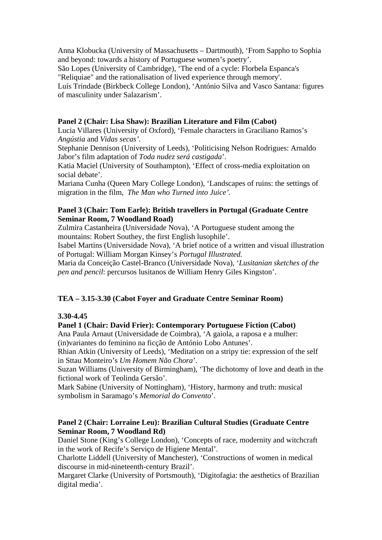Anna Klobucka (University of Massachusetts – Dartmouth), 'From Sappho to Sophia and beyond: towards a history of Portuguese women's poetry'. São Lopes (University of Cambridge), 'The end of a cycle: Florbela Espanca's "Reliquiae" and the rationalisation of lived experience through memory'. Luís Trindade (Birkbeck College London), 'António Silva and Vasco Santana: figures of masculinity under Salazarism'.

# **Panel 2 (Chair: Lisa Shaw): Brazilian Literature and Film (Cabot)**

Lucia Villares (University of Oxford), 'Female characters in Graciliano Ramos's *Angústia* and *Vidas secas'.*

Stephanie Dennison (University of Leeds), 'Politicising Nelson Rodrigues: Arnaldo Jabor's film adaptation of *Toda nudez será castigada*'.

Katia Maciel (University of Southampton), 'Effect of cross-media exploitation on social debate'.

Mariana Cunha (Queen Mary College London), 'Landscapes of ruins: the settings of migration in the film, *The Man who Turned into Juice'.* 

### **Panel 3 (Chair: Tom Earle): British travellers in Portugal (Graduate Centre Seminar Room, 7 Woodland Road)**

Zulmira Castanheira (Universidade Nova), 'A Portuguese student among the mountains: Robert Southey, the first English lusophile'.

Isabel Martins (Universidade Nova), 'A brief notice of a written and visual illustration of Portugal: William Morgan Kinsey's *Portugal Illustrated.* 

Maria da Conceição Castel-Branco (Universidade Nova), '*Lusitanian sketches of the pen and pencil*: percursos lusitanos de William Henry Giles Kingston'.

# **TEA – 3.15-3.30 (Cabot Foyer and Graduate Centre Seminar Room)**

#### **3.30-4.45**

#### **Panel 1 (Chair: David Frier): Contemporary Portuguese Fiction (Cabot)**

Ana Paula Arnaut (Universidade de Coimbra), 'A gaiola, a raposa e a mulher: (in)variantes do feminino na ficção de António Lobo Antunes'.

Rhian Atkin (University of Leeds), 'Meditation on a stripy tie: expression of the self in Sttau Monteiro's *Um Homem Não Chora*'.

Suzan Williams (University of Birmingham), 'The dichotomy of love and death in the fictional work of Teolinda Gersão'.

Mark Sabine (University of Nottingham), 'History, harmony and truth: musical symbolism in Saramago's *Memorial do Convento*'.

#### **Panel 2 (Chair: Lorraine Leu): Brazilian Cultural Studies (Graduate Centre Seminar Room, 7 Woodland Rd)**

Daniel Stone (King's College London), 'Concepts of race, modernity and witchcraft in the work of Recife's Serviço de Higiene Mental'.

Charlotte Liddell (University of Manchester), 'Constructions of women in medical discourse in mid-nineteenth-century Brazil'.

Margaret Clarke (University of Portsmouth), 'Digitofagia: the aesthetics of Brazilian digital media'.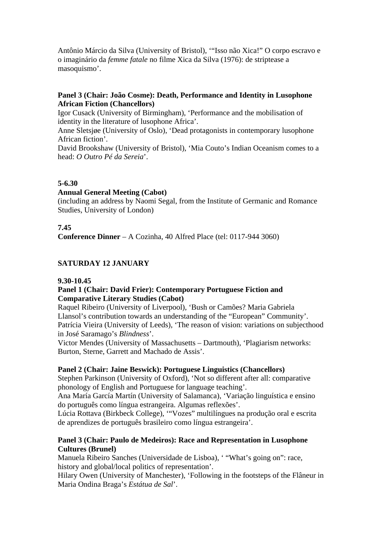Antônio Márcio da Silva (University of Bristol), '"Isso não Xica!" O corpo escravo e o imaginário da *femme fatale* no filme Xica da Silva (1976): de striptease a masoquismo'.

### **Panel 3 (Chair: João Cosme): Death, Performance and Identity in Lusophone African Fiction (Chancellors)**

Igor Cusack (University of Birmingham), 'Performance and the mobilisation of identity in the literature of lusophone Africa'.

Anne Sletsjøe (University of Oslo), 'Dead protagonists in contemporary lusophone African fiction'.

David Brookshaw (University of Bristol), 'Mia Couto's Indian Oceanism comes to a head: *O Outro Pé da Sereia*'.

### **5-6.30**

#### **Annual General Meeting (Cabot)**

(including an address by Naomi Segal, from the Institute of Germanic and Romance Studies, University of London)

### **7.45**

**Conference Dinner** – A Cozinha, 40 Alfred Place (tel: 0117-944 3060)

# **SATURDAY 12 JANUARY**

#### **9.30-10.45**

### **Panel 1 (Chair: David Frier): Contemporary Portuguese Fiction and Comparative Literary Studies (Cabot)**

Raquel Ribeiro (University of Liverpool), 'Bush or Camões? Maria Gabriela Llansol's contribution towards an understanding of the "European" Community'. Patrícia Vieira (University of Leeds), 'The reason of vision: variations on subjecthood in José Saramago's *Blindness*'.

Victor Mendes (University of Massachusetts – Dartmouth), 'Plagiarism networks: Burton, Sterne, Garrett and Machado de Assis'.

#### **Panel 2 (Chair: Jaine Beswick): Portuguese Linguistics (Chancellors)**

Stephen Parkinson (University of Oxford), 'Not so different after all: comparative phonology of English and Portuguese for language teaching'.

Ana María García Martín (University of Salamanca), 'Variação linguística e ensino do português como língua estrangeira. Algumas reflexões'.

Lúcia Rottava (Birkbeck College), '"Vozes" multilíngues na produção oral e escrita de aprendizes de português brasileiro como língua estrangeira'.

### **Panel 3 (Chair: Paulo de Medeiros): Race and Representation in Lusophone Cultures (Brunel)**

Manuela Ribeiro Sanches (Universidade de Lisboa), ' "What's going on": race, history and global/local politics of representation'.

Hilary Owen (University of Manchester), 'Following in the footsteps of the Flâneur in Maria Ondina Braga's *Estátua de Sal*'.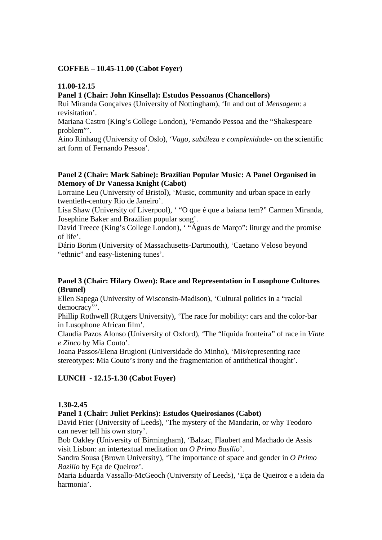### **COFFEE – 10.45-11.00 (Cabot Foyer)**

## **11.00-12.15**

# **Panel 1 (Chair: John Kinsella): Estudos Pessoanos (Chancellors)**

Rui Miranda Gonçalves (University of Nottingham), 'In and out of *Mensagem*: a revisitation'.

Mariana Castro (King's College London), 'Fernando Pessoa and the "Shakespeare problem"'.

Aino Rinhaug (University of Oslo), '*Vago, subtileza e complexidade*- on the scientific art form of Fernando Pessoa'.

### **Panel 2 (Chair: Mark Sabine): Brazilian Popular Music: A Panel Organised in Memory of Dr Vanessa Knight (Cabot)**

Lorraine Leu (University of Bristol), 'Music, community and urban space in early twentieth-century Rio de Janeiro'.

Lisa Shaw (University of Liverpool), ' "O que é que a baiana tem?" Carmen Miranda, Josephine Baker and Brazilian popular song'.

David Treece (King's College London), ' "Águas de Março": liturgy and the promise of life'.

Dário Borim (University of Massachusetts-Dartmouth), 'Caetano Veloso beyond "ethnic" and easy-listening tunes'.

### **Panel 3 (Chair: Hilary Owen): Race and Representation in Lusophone Cultures (Brunel)**

Ellen Sapega (University of Wisconsin-Madison), 'Cultural politics in a "racial democracy"'.

Phillip Rothwell (Rutgers University), 'The race for mobility: cars and the color-bar in Lusophone African film'.

Claudia Pazos Alonso (University of Oxford), 'The "líquida fronteira" of race in *Vinte e Zinco* by Mia Couto'.

Joana Passos/Elena Brugioni (Universidade do Minho), 'Mis/representing race stereotypes: Mia Couto's irony and the fragmentation of antithetical thought'.

# **LUNCH - 12.15-1.30 (Cabot Foyer)**

# **1.30-2.45**

# **Panel 1 (Chair: Juliet Perkins): Estudos Queirosianos (Cabot)**

David Frier (University of Leeds), 'The mystery of the Mandarin, or why Teodoro can never tell his own story'.

Bob Oakley (University of Birmingham), 'Balzac, Flaubert and Machado de Assis visit Lisbon: an intertextual meditation on *O Primo Basílio*'.

Sandra Sousa (Brown University), 'The importance of space and gender in *O Primo Bazilio* by Eça de Queiroz'.

Maria Eduarda Vassallo-McGeoch (University of Leeds), 'Eça de Queiroz e a ideia da harmonia'.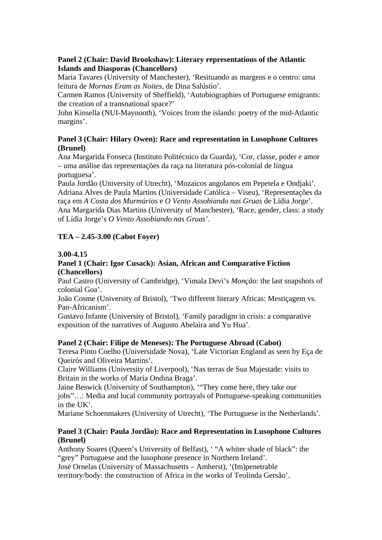# **Panel 2 (Chair: David Brookshaw): Literary representations of the Atlantic Islands and Diasporas (Chancellors)**

Maria Tavares (University of Manchester), 'Resituando as margens e o centro: uma leitura de *Mornas Eram as Noites*, de Dina Salústio'.

Carmen Ramos (University of Sheffield), 'Autobiographies of Portuguese emigrants: the creation of a transnational space?'

John Kinsella (NUI-Maynooth), 'Voices from the islands: poetry of the mid-Atlantic margins'.

# **Panel 3 (Chair: Hilary Owen): Race and representation in Lusophone Cultures (Brunel)**

Ana Margarida Fonseca (Instituto Politécnico da Guarda), 'Cor, classe, poder e amor – uma análise das representações da raça na literatura pós-colonial de língua portuguesa'.

Paula Jordão (University of Utrecht), 'Mozaicos angolanos em Pepetela e Ondjaki'. Adriana Alves de Paula Martins (Universidade Católica – Viseu), 'Representações da raça em *A Costa dos Murmúrios* e *O Vento Assobiando nas Gruas* de Lídia Jorge'. Ana Margarida Dias Martins (University of Manchester), 'Race, gender, class: a study of Lídia Jorge's *O Vento Assobiando nas Gruas*'.

# **TEA – 2.45-3.00 (Cabot Foyer)**

### **3.00-4.15**

### **Panel 1 (Chair: Igor Cusack): Asian, African and Comparative Fiction (Chancellors)**

Paul Castro (University of Cambridge), 'Vimala Devi's *Monção*: the last snapshots of colonial Goa'.

João Cosme (University of Bristol), 'Two different literary Africas: Mestiçagem vs. Pan-Africanism'.

Gustavo Infante (University of Bristol), 'Family paradigm in crisis: a comparative exposition of the narratives of Augusto Abelaira and Yu Hua'.

# **Panel 2 (Chair: Filipe de Meneses): The Portuguese Abroad (Cabot)**

Teresa Pinto Coelho (Universidade Nova), 'Late Victorian England as seen by Eça de Queirós and Oliveira Martins'.

Claire Williams (University of Liverpool), 'Nas terras de Sua Majestade: visits to Britain in the works of Maria Ondina Braga'.

Jaine Beswick (University of Southampton), '"They come here, they take our jobs"…: Media and local community portrayals of Portuguese-speaking communities in the UK'.

Mariane Schoenmakers (University of Utrecht), 'The Portuguese in the Netherlands'.

# **Panel 3 (Chair: Paula Jordão): Race and Representation in Lusophone Cultures (Brunel)**

Anthony Soares (Queen's University of Belfast), ' "A whiter shade of black": the "grey" Portuguese and the lusophone presence in Northern Ireland'.

José Ornelas (University of Massachusetts – Amherst), '(Im)penetrable

territory/body: the construction of Africa in the works of Teolinda Gersão'.